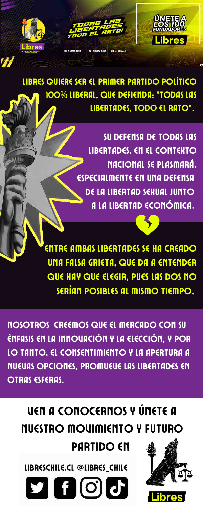notaría (a confirmar)este

Write the third step of the

<u>BIE) HE IIIDIIIO TIEIIIP</u> Ven a fundaros de la funda<br>Venezuel de la funda presencialmente en una presencia di ENTRE AMBAS LIBERTADES SE HA CREADO UNA FALSA GRIETA, QUE DA A ENTENDER QUE HAY QUE ELEGIR, PUES LAS DOS NO SERÍAN POSIBLES AL MISMO TIEMPO,

 28 de enero process here. NOSOTROS CREEMOS QUE EL MERCADO CON SU ÉNFASIS EN LA INNOVACIÓN Y LA ELECCIÓN, Y POR LO TANTO, EL CONSENTIMIENTO Y LA APERTURA A NUEVAS OPCIONES, PROMUEVE LAS LIBERTADES EN OTRAS ESFERAS.

SU DEFENSA DE TODAS LAS LIBERTADES, EN EL CONTEXTO NACIONAL SE PLASMARÁ, ESPECIALMENTE EN UNA DEFENSA DE LA LIBERTAD SEXUAL JUNTO A LA LIBERTAD ECONÓMICA.



LIBRES QUIERE SER EL PRIMER PARTIDO POLÍTICO 100% LIBERAL, QUE DEFIENDA: "TODAS LAS LIBERTADES, TODO EL RATO".

## VEN A CONOCERNOS Y ÚNETE A NUESTRO MOVIMIENTO Y FUTURO PARTIDO EN

LIBRESCHILE.CL @LIBRES\_CHILE

9 A G G



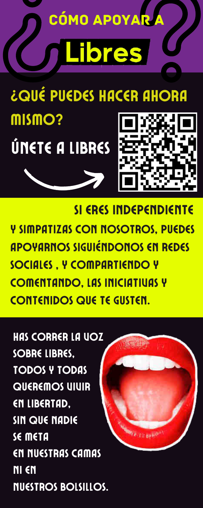

## ¿QUÉ PUEDES HACER AHORA mismo? ÚNETE A LIBRES

SI ERES INDEPENDIENTE Y SIMPATIZAS CON NOSOTROS, PUEDES **APOYARNOS SIGUIÉNDONOS EN REDES SOCIALES, Y COMPARTIENDO Y COMENTANDO, LAS INICIATIUAS Y CONTENIDOS QUE TE GUSTEN.** 

**HAS CORRER LA UOZ** SOBRE LIBRES. **TODOS Y TODAS** QUEREMOS UIUIR EN LIBERTAD, **SIN QUE NADIE** SE META EN NUESTRAS CAMAS NI EN **NUESTROS BOLSILLOS.**